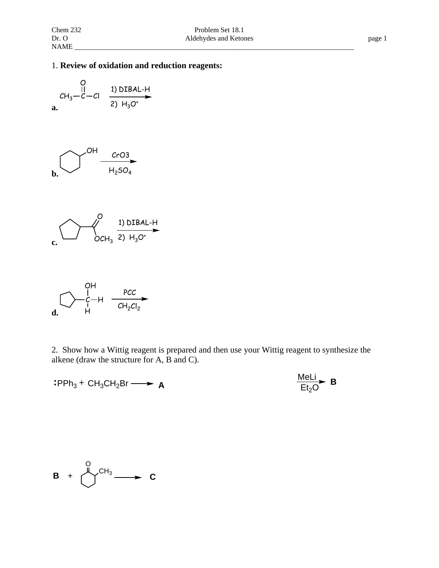## 1. **Review of oxidation and reduction reagents:**

$$
CH_3-C-Cl
$$
 
$$
1) DIBAL-H
$$
  
1) DIBAL-H  
2)  $H_3O^+$ 

$$
\bigcirc^{OH} \frac{c_{r03}}{H_{2}SO_{4}}
$$

$$
\begin{array}{ccc}\n& & & 0 \\
& & & \n\end{array}
$$



2. Show how a Wittig reagent is prepared and then use your Wittig reagent to synthesize the alkene (draw the structure for A, B and C).

$$
:PPh_3 + CH_3CH_2Br \longrightarrow A
$$

$$
\mathbf{A} \qquad \qquad \frac{\text{Meli}}{\text{Et}_2\text{O}} \quad \mathbf{B}
$$

$$
B + \bigcup_{-1}^{O} CH_3 \longrightarrow C
$$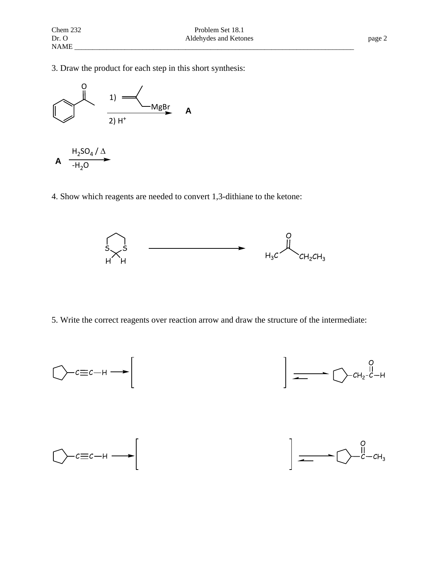3. Draw the product for each step in this short synthesis:



4. Show which reagents are needed to convert 1,3-dithiane to the ketone:



5. Write the correct reagents over reaction arrow and draw the structure of the intermediate: